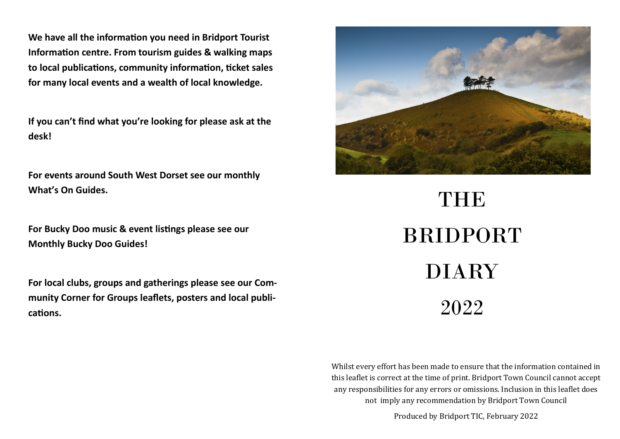**We have all the information you need in Bridport Tourist Information centre. From tourism guides & walking maps to local publications, community information, ticket sales for many local events and a wealth of local knowledge.** 

**If you can't find what you're looking for please ask at the desk!**

**For events around South West Dorset see our monthly What's On Guides.**

**For Bucky Doo music & event listings please see our Monthly Bucky Doo Guides!**

**For local clubs, groups and gatherings please see our Community Corner for Groups leaflets, posters and local publications.**



THE BRIDPORT DIARY 2022

Whilst every effort has been made to ensure that the information contained in this leaflet is correct at the time of print. Bridport Town Council cannot accept any responsibilities for any errors or omissions. Inclusion in this leaflet does not imply any recommendation by Bridport Town Council

Produced by Bridport TIC, February 2022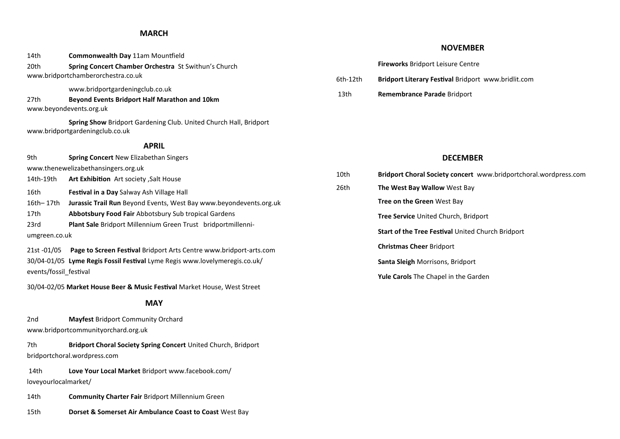### **MARCH**

|                                                                            | 14th                   | Commonwealth Day 11am Mountfield                                                                     |          |  |  |
|----------------------------------------------------------------------------|------------------------|------------------------------------------------------------------------------------------------------|----------|--|--|
|                                                                            | 20th                   | Spring Concert Chamber Orchestra St Swithun's Church<br>www.bridportchamberorchestra.co.uk           | 6th-12th |  |  |
|                                                                            |                        | www.bridportgardeningclub.co.uk                                                                      |          |  |  |
|                                                                            | 27th                   | Beyond Events Bridport Half Marathon and 10km<br>www.beyondevents.org.uk                             | 13th     |  |  |
|                                                                            |                        | Spring Show Bridport Gardening Club. United Church Hall, Bridport<br>www.bridportgardeningclub.co.uk |          |  |  |
|                                                                            |                        | <b>APRIL</b>                                                                                         |          |  |  |
|                                                                            | 9th                    | <b>Spring Concert New Elizabethan Singers</b>                                                        |          |  |  |
|                                                                            |                        | www.thenewelizabethansingers.org.uk                                                                  | 10th     |  |  |
|                                                                            | 14th-19th              | Art Exhibition Art society , Salt House                                                              |          |  |  |
|                                                                            | 16th                   | Festival in a Day Salway Ash Village Hall                                                            | 26th     |  |  |
|                                                                            | 16th-17th              | Jurassic Trail Run Beyond Events, West Bay www.beyondevents.org.uk                                   |          |  |  |
|                                                                            | 17th                   | Abbotsbury Food Fair Abbotsbury Sub tropical Gardens                                                 |          |  |  |
|                                                                            | 23rd                   | Plant Sale Bridport Millennium Green Trust bridportmillenni-                                         |          |  |  |
|                                                                            | umgreen.co.uk          |                                                                                                      |          |  |  |
|                                                                            | 21st -01/05            | Page to Screen Festival Bridport Arts Centre www.bridport-arts.com                                   |          |  |  |
| 30/04-01/05 Lyme Regis Fossil Festival Lyme Regis www.lovelymeregis.co.uk/ |                        |                                                                                                      |          |  |  |
|                                                                            | events/fossil_festival |                                                                                                      |          |  |  |
| 30/04-02/05 Market House Beer & Music Festival Market House, West Street   |                        |                                                                                                      |          |  |  |
| <b>MAY</b>                                                                 |                        |                                                                                                      |          |  |  |
|                                                                            | 2 <sub>nd</sub>        | <b>Mayfest Bridport Community Orchard</b>                                                            |          |  |  |
|                                                                            |                        | www.bridportcommunityorchard.org.uk                                                                  |          |  |  |
|                                                                            |                        |                                                                                                      |          |  |  |

7th **Bridport Choral Society Spring Concert** United Church, Bridport bridportchoral.wordpress.com

14th **Love Your Local Market** Bridport www.facebook.com/ loveyourlocalmarket/

14th **Community Charter Fair** Bridport Millennium Green

15th **Dorset & Somerset Air Ambulance Coast to Coast** West Bay

#### **NOVEMBER**

- **Bridport Literary Festival Bridport www.bridlit.com**
- 13th **Remembrance Parade** Bridport

## **DECEMBER**

| 10th | Bridport Choral Society concert www.bridportchoral.wordpress.com |  |  |  |
|------|------------------------------------------------------------------|--|--|--|
| 26th | <b>The West Bay Wallow</b> West Bay                              |  |  |  |
|      | <b>Tree on the Green West Bay</b>                                |  |  |  |
|      | <b>Tree Service</b> United Church, Bridport                      |  |  |  |
|      | <b>Start of the Tree Festival United Church Bridport</b>         |  |  |  |
|      | <b>Christmas Cheer Bridport</b>                                  |  |  |  |
|      | <b>Santa Sleigh Morrisons, Bridport</b>                          |  |  |  |
|      | <b>Yule Carols</b> The Chapel in the Garden                      |  |  |  |
|      |                                                                  |  |  |  |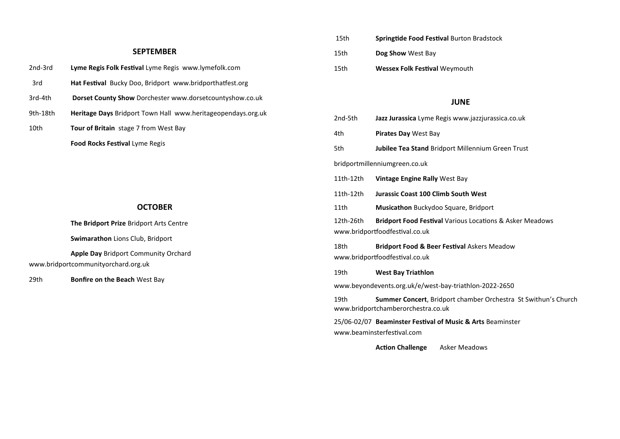#### **SEPTEMBER**

| 2nd-3rd | <b>Lyme Regis Folk Festival</b> Lyme Regis www.lymefolk.com     |
|---------|-----------------------------------------------------------------|
| 3rd     | <b>Hat Festival</b> Bucky Doo, Bridport www.bridporthatfest.org |
|         |                                                                 |

- 3rd-4th **Dorset County Show** Dorchester www.dorsetcountyshow.co.uk
- 9th-18th **Heritage Days** Bridport Town Hall www.heritageopendays.org.uk
- 10th **Tour of Britain** stage 7 from West Bay

**Food Rocks Festival** Lyme Regis

### **OCTOBER**

**The Bridport Prize** Bridport Arts Centre

**Swimarathon** Lions Club, Bridport

**Apple Day** Bridport Community Orchard www.bridportcommunityorchard.org.uk

29th **Bonfire on the Beach** West Bay

- 15th **Springtide Food Festival** Burton Bradstock 15th **Dog Show** West Bay
- 15th **Wessex Folk Festival** Weymouth

### **JUNE**

| 2nd-5th                                                                                                            | Jazz Jurassica Lyme Regis www.jazzjurassica.co.uk                                                    |  |  |  |  |
|--------------------------------------------------------------------------------------------------------------------|------------------------------------------------------------------------------------------------------|--|--|--|--|
| 4th                                                                                                                | Pirates Day West Bay                                                                                 |  |  |  |  |
| 5th                                                                                                                | <b>Jubilee Tea Stand Bridport Millennium Green Trust</b>                                             |  |  |  |  |
| bridportmillenniumgreen.co.uk                                                                                      |                                                                                                      |  |  |  |  |
| 11th-12th                                                                                                          | <b>Vintage Engine Rally West Bay</b>                                                                 |  |  |  |  |
| 11th-12th                                                                                                          | <b>Jurassic Coast 100 Climb South West</b>                                                           |  |  |  |  |
| 11th                                                                                                               | Musicathon Buckydoo Square, Bridport                                                                 |  |  |  |  |
| 12th-26th<br><b>Bridport Food Festival Various Locations &amp; Asker Meadows</b><br>www.bridportfoodfestival.co.uk |                                                                                                      |  |  |  |  |
| 18th<br><b>Bridport Food &amp; Beer Festival Askers Meadow</b><br>www.bridportfoodfestival.co.uk                   |                                                                                                      |  |  |  |  |
| 19th                                                                                                               | <b>West Bay Triathlon</b>                                                                            |  |  |  |  |
| www.beyondevents.org.uk/e/west-bay-triathlon-2022-2650                                                             |                                                                                                      |  |  |  |  |
| 19th                                                                                                               | Summer Concert, Bridport chamber Orchestra St Swithun's Church<br>www.bridportchamberorchestra.co.uk |  |  |  |  |
|                                                                                                                    | 25/06-02/07 Beaminster Festival of Music & Arts Beaminster                                           |  |  |  |  |

www.beaminsterfestival.com

**Action Challenge** Asker Meadows